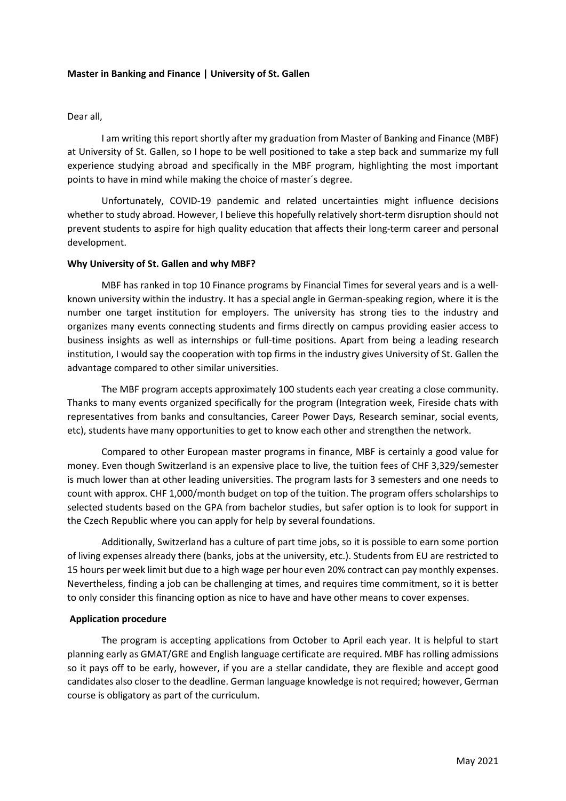### **Master in Banking and Finance | University of St. Gallen**

### Dear all,

I am writing this report shortly after my graduation from Master of Banking and Finance (MBF) at University of St. Gallen, so I hope to be well positioned to take a step back and summarize my full experience studying abroad and specifically in the MBF program, highlighting the most important points to have in mind while making the choice of master´s degree.

Unfortunately, COVID-19 pandemic and related uncertainties might influence decisions whether to study abroad. However, I believe this hopefully relatively short-term disruption should not prevent students to aspire for high quality education that affects their long-term career and personal development.

### **Why University of St. Gallen and why MBF?**

MBF has ranked in top 10 Finance programs by Financial Times for several years and is a wellknown university within the industry. It has a special angle in German-speaking region, where it is the number one target institution for employers. The university has strong ties to the industry and organizes many events connecting students and firms directly on campus providing easier access to business insights as well as internships or full-time positions. Apart from being a leading research institution, I would say the cooperation with top firms in the industry gives University of St. Gallen the advantage compared to other similar universities.

The MBF program accepts approximately 100 students each year creating a close community. Thanks to many events organized specifically for the program (Integration week, Fireside chats with representatives from banks and consultancies, Career Power Days, Research seminar, social events, etc), students have many opportunities to get to know each other and strengthen the network.

Compared to other European master programs in finance, MBF is certainly a good value for money. Even though Switzerland is an expensive place to live, the tuition fees of CHF 3,329/semester is much lower than at other leading universities. The program lasts for 3 semesters and one needs to count with approx. CHF 1,000/month budget on top of the tuition. The program offers scholarships to selected students based on the GPA from bachelor studies, but safer option is to look for support in the Czech Republic where you can apply for help by several foundations.

Additionally, Switzerland has a culture of part time jobs, so it is possible to earn some portion of living expenses already there (banks, jobs at the university, etc.). Students from EU are restricted to 15 hours per week limit but due to a high wage per hour even 20% contract can pay monthly expenses. Nevertheless, finding a job can be challenging at times, and requires time commitment, so it is better to only consider this financing option as nice to have and have other means to cover expenses.

#### **Application procedure**

The program is accepting applications from October to April each year. It is helpful to start planning early as GMAT/GRE and English language certificate are required. MBF has rolling admissions so it pays off to be early, however, if you are a stellar candidate, they are flexible and accept good candidates also closer to the deadline. German language knowledge is not required; however, German course is obligatory as part of the curriculum.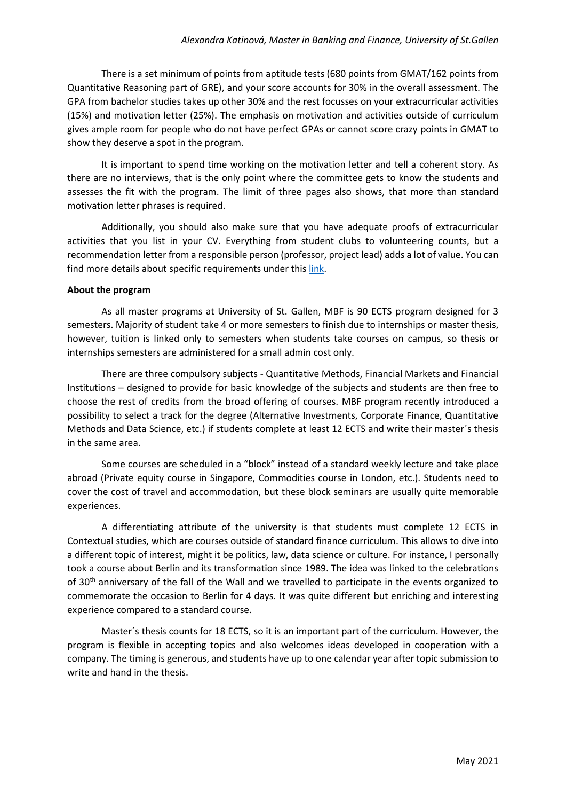There is a set minimum of points from aptitude tests (680 points from GMAT/162 points from Quantitative Reasoning part of GRE), and your score accounts for 30% in the overall assessment. The GPA from bachelor studies takes up other 30% and the rest focusses on your extracurricular activities (15%) and motivation letter (25%). The emphasis on motivation and activities outside of curriculum gives ample room for people who do not have perfect GPAs or cannot score crazy points in GMAT to show they deserve a spot in the program.

It is important to spend time working on the motivation letter and tell a coherent story. As there are no interviews, that is the only point where the committee gets to know the students and assesses the fit with the program. The limit of three pages also shows, that more than standard motivation letter phrases is required.

Additionally, you should also make sure that you have adequate proofs of extracurricular activities that you list in your CV. Everything from student clubs to volunteering counts, but a recommendation letter from a responsible person (professor, project lead) adds a lot of value. You can find more details about specific requirements under this [link.](https://www.unisg.ch/en/studium/zulassungundanmeldung/zulmasterstufe/mbf)

# **About the program**

As all master programs at University of St. Gallen, MBF is 90 ECTS program designed for 3 semesters. Majority of student take 4 or more semesters to finish due to internships or master thesis, however, tuition is linked only to semesters when students take courses on campus, so thesis or internships semesters are administered for a small admin cost only.

There are three compulsory subjects - Quantitative Methods, Financial Markets and Financial Institutions – designed to provide for basic knowledge of the subjects and students are then free to choose the rest of credits from the broad offering of courses. MBF program recently introduced a possibility to select a track for the degree (Alternative Investments, Corporate Finance, Quantitative Methods and Data Science, etc.) if students complete at least 12 ECTS and write their master´s thesis in the same area.

Some courses are scheduled in a "block" instead of a standard weekly lecture and take place abroad (Private equity course in Singapore, Commodities course in London, etc.). Students need to cover the cost of travel and accommodation, but these block seminars are usually quite memorable experiences.

A differentiating attribute of the university is that students must complete 12 ECTS in Contextual studies, which are courses outside of standard finance curriculum. This allows to dive into a different topic of interest, might it be politics, law, data science or culture. For instance, I personally took a course about Berlin and its transformation since 1989. The idea was linked to the celebrations of  $30<sup>th</sup>$  anniversary of the fall of the Wall and we travelled to participate in the events organized to commemorate the occasion to Berlin for 4 days. It was quite different but enriching and interesting experience compared to a standard course.

Master´s thesis counts for 18 ECTS, so it is an important part of the curriculum. However, the program is flexible in accepting topics and also welcomes ideas developed in cooperation with a company. The timing is generous, and students have up to one calendar year after topic submission to write and hand in the thesis.